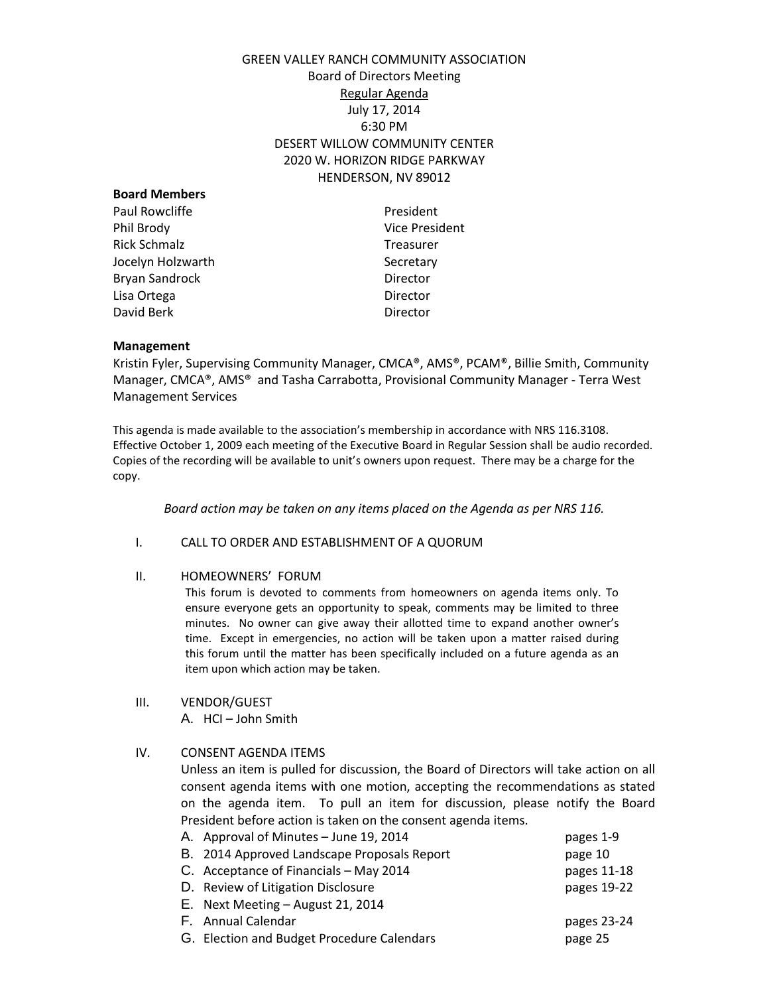# GREEN VALLEY RANCH COMMUNITY ASSOCIATION Board of Directors Meeting Regular Agenda July 17, 2014 6:30 PM DESERT WILLOW COMMUNITY CENTER 2020 W. HORIZON RIDGE PARKWAY HENDERSON, NV 89012

| President      |
|----------------|
| Vice President |
| Treasurer      |
| Secretary      |
| Director       |
| Director       |
| Director       |
|                |

#### **Management**

Kristin Fyler, Supervising Community Manager, CMCA®, AMS®, PCAM®, Billie Smith, Community Manager, CMCA®, AMS® and Tasha Carrabotta, Provisional Community Manager - Terra West Management Services

This agenda is made available to the association's membership in accordance with NRS 116.3108. Effective October 1, 2009 each meeting of the Executive Board in Regular Session shall be audio recorded. Copies of the recording will be available to unit's owners upon request. There may be a charge for the copy.

*Board action may be taken on any items placed on the Agenda as per NRS 116.* 

## I. CALL TO ORDER AND ESTABLISHMENT OF A QUORUM

### II. HOMEOWNERS' FORUM

This forum is devoted to comments from homeowners on agenda items only. To ensure everyone gets an opportunity to speak, comments may be limited to three minutes. No owner can give away their allotted time to expand another owner's time. Except in emergencies, no action will be taken upon a matter raised during this forum until the matter has been specifically included on a future agenda as an item upon which action may be taken.

III. VENDOR/GUEST A. HCI – John Smith

## IV. CONSENT AGENDA ITEMS

Unless an item is pulled for discussion, the Board of Directors will take action on all consent agenda items with one motion, accepting the recommendations as stated on the agenda item. To pull an item for discussion, please notify the Board President before action is taken on the consent agenda items.

| A. Approval of Minutes - June 19, 2014      | pages 1-9   |
|---------------------------------------------|-------------|
| B. 2014 Approved Landscape Proposals Report | page 10     |
| C. Acceptance of Financials - May 2014      | pages 11-18 |
| D. Review of Litigation Disclosure          | pages 19-22 |
| E. Next Meeting - August 21, 2014           |             |
| F. Annual Calendar                          | pages 23-24 |
| G. Election and Budget Procedure Calendars  | page 25     |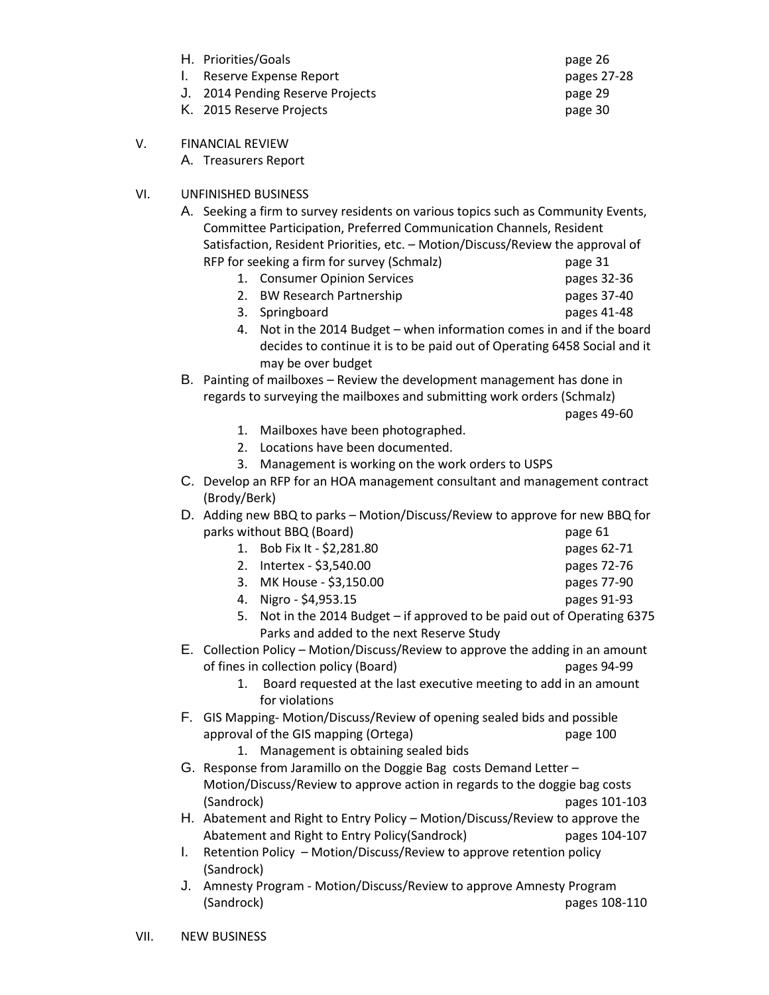- H. Priorities/Goals **page 26**
- I. Reserve Expense Report **pages 27-28**
- J. 2014 Pending Reserve Projects page 29
- K. 2015 Reserve Projects **Example 20** page 30

VII. NEW BUSINESS

- V. FINANCIAL REVIEW
	- A. Treasurers Report

# VI. UNFINISHED BUSINESS

- A. Seeking a firm to survey residents on various topics such as Community Events, Committee Participation, Preferred Communication Channels, Resident Satisfaction, Resident Priorities, etc. – Motion/Discuss/Review the approval of RFP for seeking a firm for survey (Schmalz) page 31
	- 1. Consumer Opinion Services **pages 32-36**
	- 2. BW Research Partnership pages 37-40
		-
	- 3. Springboard pages 41-48
	- 4. Not in the 2014 Budget when information comes in and if the board decides to continue it is to be paid out of Operating 6458 Social and it may be over budget
- B. Painting of mailboxes Review the development management has done in regards to surveying the mailboxes and submitting work orders (Schmalz)

pages 49-60

- 1. Mailboxes have been photographed.
- 2. Locations have been documented.
- 3. Management is working on the work orders to USPS
- C. Develop an RFP for an HOA management consultant and management contract (Brody/Berk)
- D. Adding new BBQ to parks Motion/Discuss/Review to approve for new BBQ for parks without BBQ (Board) page 61
	- 1. Bob Fix It \$2,281.80 pages 62-71 2. Intertex - \$3,540.00 pages 72-76
	- 3. MK House \$3,150.00 pages 77-90
	- 4. Nigro \$4,953.15 pages 91-93
	- 5. Not in the 2014 Budget if approved to be paid out of Operating 6375 Parks and added to the next Reserve Study
- E. Collection Policy Motion/Discuss/Review to approve the adding in an amount of fines in collection policy (Board) pages 94-99
	- 1. Board requested at the last executive meeting to add in an amount for violations
- F. GIS Mapping- Motion/Discuss/Review of opening sealed bids and possible approval of the GIS mapping (Ortega) page 100
	- 1. Management is obtaining sealed bids
- G. Response from Jaramillo on the Doggie Bag costs Demand Letter Motion/Discuss/Review to approve action in regards to the doggie bag costs (Sandrock) pages 101-103
- H. Abatement and Right to Entry Policy Motion/Discuss/Review to approve the Abatement and Right to Entry Policy(Sandrock) pages 104-107
- I. Retention Policy Motion/Discuss/Review to approve retention policy (Sandrock)
- J. Amnesty Program Motion/Discuss/Review to approve Amnesty Program (Sandrock) pages 108-110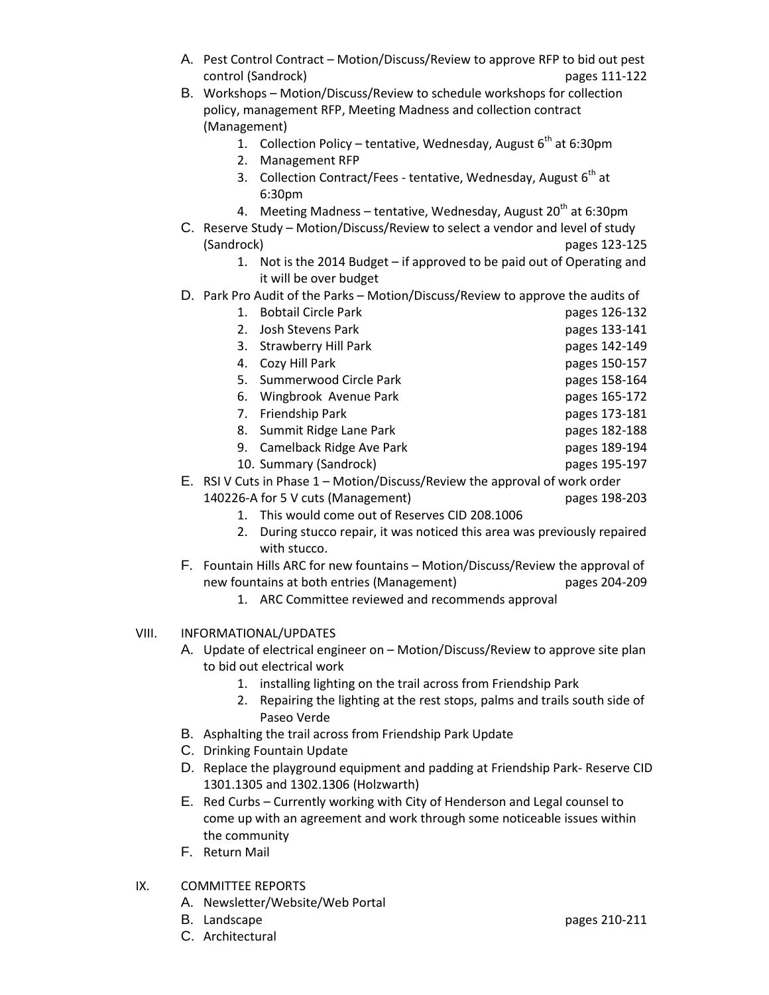- A. Pest Control Contract Motion/Discuss/Review to approve RFP to bid out pest control (Sandrock) pages 111-122
- B. Workshops Motion/Discuss/Review to schedule workshops for collection policy, management RFP, Meeting Madness and collection contract (Management)
	- 1. Collection Policy tentative, Wednesday, August  $6<sup>th</sup>$  at 6:30pm
	- 2. Management RFP
	- 3. Collection Contract/Fees tentative, Wednesday, August 6<sup>th</sup> at 6:30pm
	- 4. Meeting Madness tentative, Wednesday, August  $20<sup>th</sup>$  at 6:30pm
- C. Reserve Study Motion/Discuss/Review to select a vendor and level of study (Sandrock) pages 123-125
	- 1. Not is the 2014 Budget if approved to be paid out of Operating and it will be over budget
- D. Park Pro Audit of the Parks Motion/Discuss/Review to approve the audits of

| 1.                                                                          | <b>Bobtail Circle Park</b>         | pages 126-132 |
|-----------------------------------------------------------------------------|------------------------------------|---------------|
| 2.                                                                          | Josh Stevens Park                  | pages 133-141 |
| 3.                                                                          | Strawberry Hill Park               | pages 142-149 |
| 4.                                                                          | Cozy Hill Park                     | pages 150-157 |
| 5.                                                                          | Summerwood Circle Park             | pages 158-164 |
| 6.                                                                          | Wingbrook Avenue Park              | pages 165-172 |
|                                                                             | 7. Friendship Park                 | pages 173-181 |
|                                                                             | 8. Summit Ridge Lane Park          | pages 182-188 |
|                                                                             | 9. Camelback Ridge Ave Park        | pages 189-194 |
|                                                                             | 10. Summary (Sandrock)             | pages 195-197 |
| E. RSI V Cuts in Phase 1 – Motion/Discuss/Review the approval of work order |                                    |               |
|                                                                             | 140226-A for 5 V cuts (Management) | pages 198-203 |

- 1. This would come out of Reserves CID 208.1006
	- 2. During stucco repair, it was noticed this area was previously repaired with stucco.
- F. Fountain Hills ARC for new fountains Motion/Discuss/Review the approval of new fountains at both entries (Management) pages 204-209
	- 1. ARC Committee reviewed and recommends approval
- VIII. INFORMATIONAL/UPDATES
	- A. Update of electrical engineer on Motion/Discuss/Review to approve site plan to bid out electrical work
		- 1. installing lighting on the trail across from Friendship Park
		- 2. Repairing the lighting at the rest stops, palms and trails south side of Paseo Verde
	- B. Asphalting the trail across from Friendship Park Update
	- C. Drinking Fountain Update
	- D. Replace the playground equipment and padding at Friendship Park- Reserve CID 1301.1305 and 1302.1306 (Holzwarth)
	- E. Red Curbs Currently working with City of Henderson and Legal counsel to come up with an agreement and work through some noticeable issues within the community
	- F. Return Mail
- IX. COMMITTEE REPORTS
	- A. Newsletter/Website/Web Portal
	- B. Landscape **pages 210-211**
	- C. Architectural